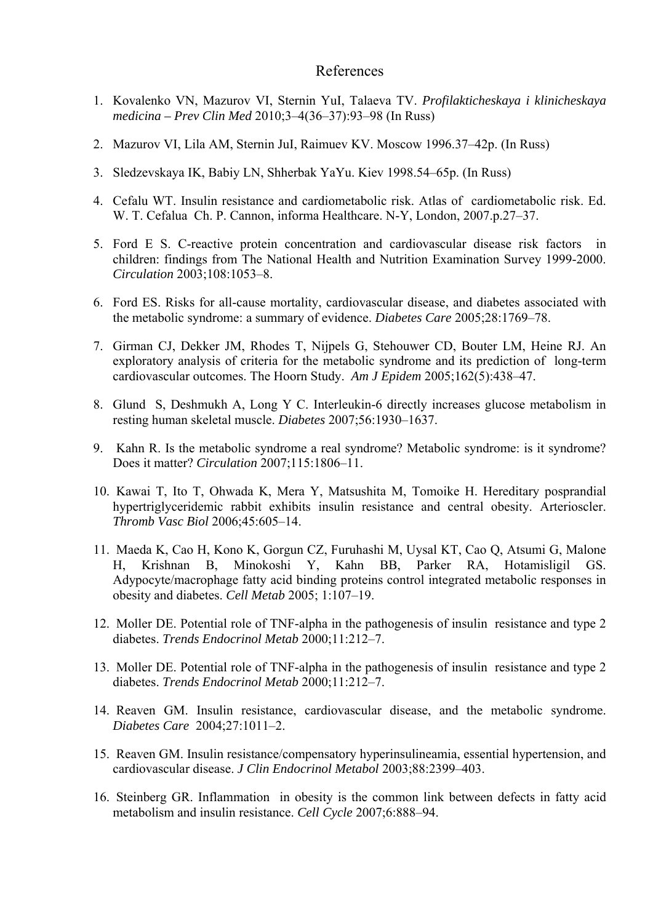## References

- 1. Kovalenko VN, Mazurov VI, Sternin YuI, Talaeva TV. *Profilakticheskaya i klinicheskaya medicina – Prev Clin Med* 2010;3–4(36–37):93–98 (In Russ)
- 2. Mazurov VI, Lila AM, Sternin JuI, Raimuev KV. Moscow 1996.37–42р. (In Russ)
- 3. Sledzevskaya IK, Babiy LN, Shherbak YaYu. Kiev 1998.54–65р. (In Russ)
- 4. Cefalu WT. Insulin resistance and cardiometabolic risk. Atlas of cardiometabolic risk. Ed. W. T. Cefalua Ch. P. Cannon, informa Healthcare. N-Y, London, 2007.p.27–37.
- 5. Ford E S. C-reactive protein concentration and cardiovascular disease risk factors in children: findings from The National Health and Nutrition Examination Survey 1999-2000. *Circulation* 2003;108:1053–8.
- 6. Ford ES. Risks for all-cause mortality, cardiovascular disease, and diabetes associated with the metabolic syndrome: a summary of evidence. *Diabetes Care* 2005;28:1769–78.
- 7. Girman CJ, Dekker JM, Rhodes T, Nijpels G, Stehouwer CD, Bouter LM, Heine RJ. An exploratory analysis of criteria for the metabolic syndrome and its prediction of long-term cardiovascular outcomes. The Hoorn Study. *Am J Epidem* 2005;162(5):438–47.
- 8. Glund S, Deshmukh A, Long Y C. Interleukin-6 directly increases glucose metabolism in resting human skeletal muscle. *Diabetes* 2007;56:1930–1637.
- 9. Kahn R. Is the metabolic syndrome a real syndrome? Metabolic syndrome: is it syndrome? Does it matter? *Circulation* 2007;115:1806–11.
- 10. Kawai T, Ito T, Ohwada K, Mera Y, Matsushita M, Tomoike H. Hereditary posprandial hypertriglyceridemic rabbit exhibits insulin resistance and central obesity. Arterioscler. *Thromb Vasc Biol* 2006;45:605–14.
- 11. Maeda K, Cao H, Kono K, Gorgun CZ, Furuhashi M, Uysal KT, Cao Q, Atsumi G, Malone H, Krishnan B, Minokoshi Y, Kahn BB, Parker RA, Hotamisligil GS. Adypocyte/macrophage fatty acid binding proteins control integrated metabolic responses in obesity and diabetes. *Cell Metab* 2005; 1:107–19.
- 12. Moller DE. Potential role of TNF-alpha in the pathogenesis of insulin resistance and type 2 diabetes. *Trends Endocrinol Metab* 2000;11:212–7.
- 13. Moller DE. Potential role of TNF-alpha in the pathogenesis of insulin resistance and type 2 diabetes. *Trends Endocrinol Metab* 2000;11:212–7.
- 14. Reaven GM. Insulin resistance, cardiovascular disease, and the metabolic syndrome. *Diabetes Care* 2004;27:1011–2.
- 15. Reaven GM. Insulin resistance/compensatory hyperinsulineamia, essential hypertension, and cardiovascular disease. *J Clin Endocrinol Metabol* 2003;88:2399–403.
- 16. Steinberg GR. Inflammation in obesity is the common link between defects in fatty acid metabolism and insulin resistance. *Cell Cycle* 2007;6:888–94.